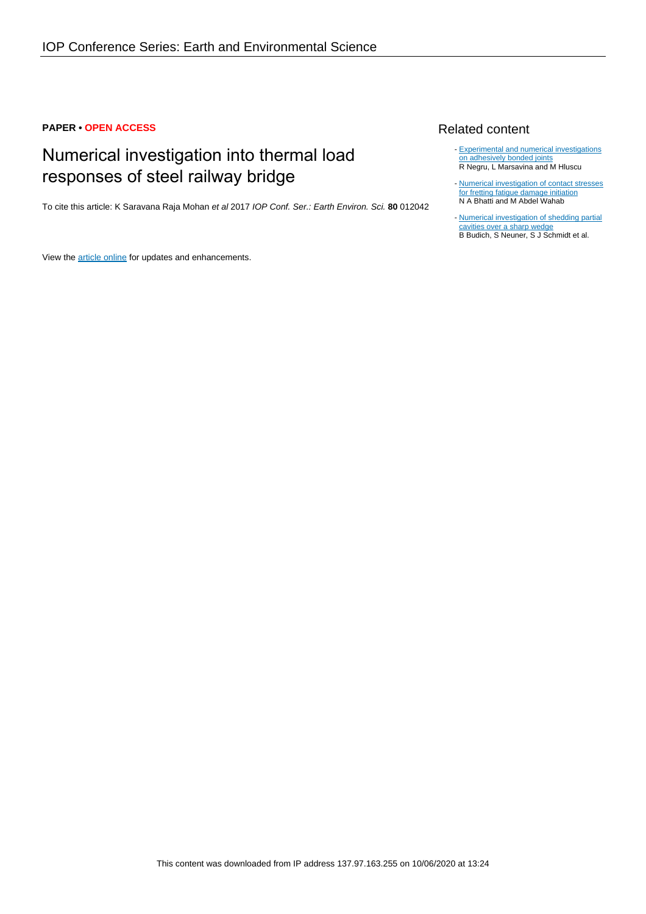# **PAPER • OPEN ACCESS**

# Numerical investigation into thermal load responses of steel railway bridge

To cite this article: K Saravana Raja Mohan et al 2017 IOP Conf. Ser.: Earth Environ. Sci. **80** 012042

View the [article online](https://doi.org/10.1088/1755-1315/80/1/012042) for updates and enhancements.

# Related content

- [Experimental and numerical investigations](http://iopscience.iop.org/article/10.1088/1757-899X/123/1/012012) [on adhesively bonded joints](http://iopscience.iop.org/article/10.1088/1757-899X/123/1/012012) R Negru, L Marsavina and M Hluscu
- [Numerical investigation of contact stresses](http://iopscience.iop.org/article/10.1088/1742-6596/843/1/012054) [for fretting fatigue damage initiation](http://iopscience.iop.org/article/10.1088/1742-6596/843/1/012054) N A Bhatti and M Abdel Wahab -
- [Numerical investigation of shedding partial](http://iopscience.iop.org/article/10.1088/1742-6596/656/1/012122) [cavities over a sharp wedge](http://iopscience.iop.org/article/10.1088/1742-6596/656/1/012122) B Budich, S Neuner, S J Schmidt et al.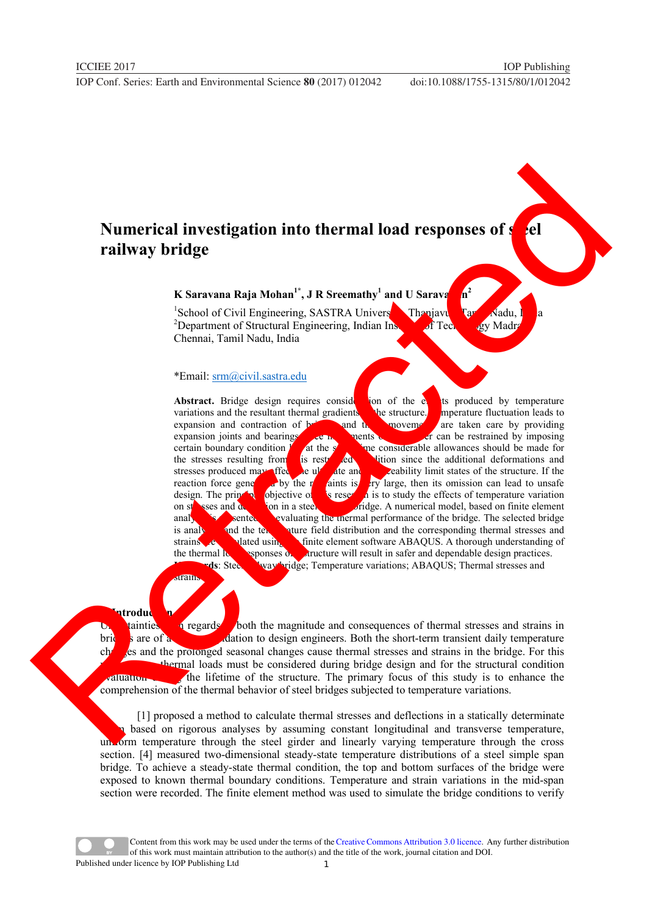# **Numerical investigation into thermal load responses of set ell railway bridge**

## **K** Saravana Raja Mohan<sup>1\*</sup>, **J** R Sreemathy<sup>1</sup> and U Saravana  $n^2$

<sup>1</sup>School of Civil Engineering, SASTRA University, Thanjavur, Tamil Nadu, India <sup>2</sup>Department of Structural Engineering, Indian Institute of Technology Madr Chennai, Tamil Nadu, India

### \*Email: srm@civil.sastra.edu

Abstract. Bridge design requires consides on of the extendition of the extending produced by temperature variations and the resultant thermal gradients the structure. Imperature fluctuation leads to expansion and contraction of  $\mathbf{b}$  and  $\mathbf{b}$  movements are taken care by providing expansion joints and bearings. Free mounts of a member can be restrained by imposing certain boundary condition  $\ell$  at the s<sup>trained</sup> member considerable allowances should be made for at the  $s^2$  in the considerable allowances should be made for the stresses resulting from is restrained conditions ince the additional deformations and stresses produced may affect be ultimate and seability limit states of the structure. If the reaction force generated by the restraints is very large, then its omission can lead to unsafe design. The principal objective of this research is to study the effects of temperature variation on stresses and definite the numerical model, based on finite element analysis and the tell strengthermal performance of the bridge. The selected bridge is analysis and the tell distribution and the corresponding thermal stresses and is analy and the text value field distribution and the corresponding thermal stresses and strains are calculated using the finite element software ABAQUS. A thorough understanding of the thermal lower sponses of a structure will result in safer and dependable design practices. **Regularity of Temperature variations; ABAQUS; Thermal stresses and variations** Numerical investigation into thermal load responses of<br>
railway bridge<br>
K-Sarasun Reja Molan", JR Secondary<br>
School of Civil Faginesian SASERA University<br>
The Change Taul School of Secondary<br>
Alternation School of Secondar

### strains

**1. Introduction**  $\frac{1}{2}$  regards both the magnitude and consequences of thermal stresses and strains in bridges are of a matrix  $\alpha$  dation to design engineers. Both the short-term transient daily temperature changes and the prolonged seasonal changes cause thermal stresses and strains in the bridge. For this thermal loads must be considered during bridge design and for the structural condition  $\epsilon$  during the lifetime of the structure. The primary focus of this study is to enhance the comprehension of the thermal behavior of steel bridges subjected to temperature variations.

[1] proposed a method to calculate thermal stresses and deflections in a statically determinate based on rigorous analyses by assuming constant longitudinal and transverse temperature, uniform temperature through the steel girder and linearly varying temperature through the cross section. [4] measured two-dimensional steady-state temperature distributions of a steel simple span bridge. To achieve a steady-state thermal condition, the top and bottom surfaces of the bridge were exposed to known thermal boundary conditions. Temperature and strain variations in the mid-span section were recorded. The finite element method was used to simulate the bridge conditions to verify

Content from this work may be used under the terms of the[Creative Commons Attribution 3.0 licence.](http://creativecommons.org/licenses/by/3.0) Any further distribution of this work must maintain attribution to the author(s) and the title of the work, journal citation and DOI. Published under licence by IOP Publishing Ltd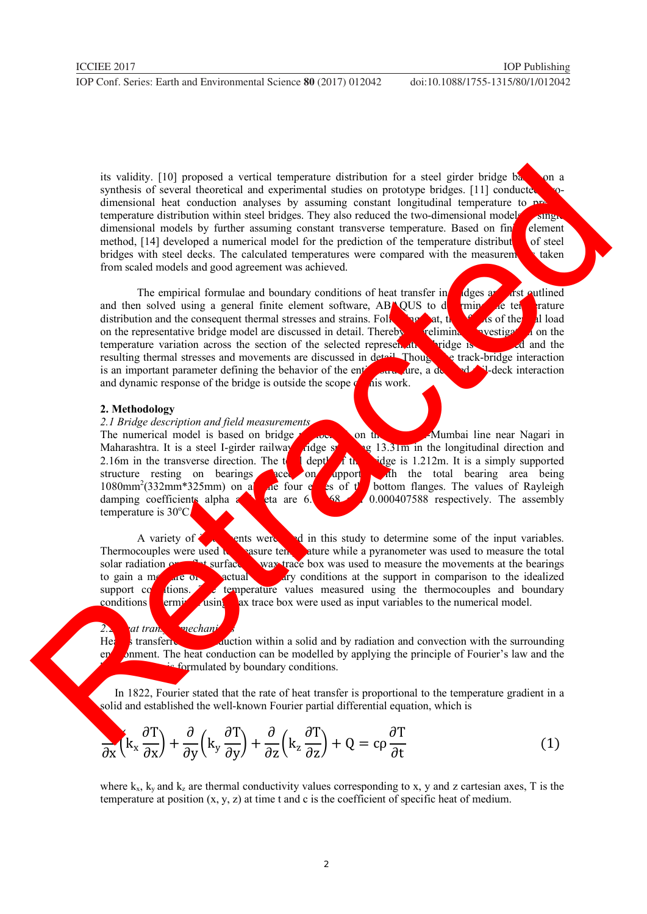its validity. [10] proposed a vertical temperature distribution for a steel girder bridge  $b\lambda$  on a synthesis of several theoretical and experimental studies on prototype bridges. [11] conducted twodimensional heat conduction analyses by assuming constant longitudinal temperature to  $p^2$ temperature distribution within steel bridges. They also reduced the two-dimensional models single dimensional models by further assuming constant transverse temperature. Based on finite element method,  $[14]$  developed a numerical model for the prediction of the temperature distribution of steel bridges with steel decks. The calculated temperatures were compared with the measurements taken from scaled models and good agreement was achieved.

The empirical formulae and boundary conditions of heat transfer in deges are first outlined<br>in solved using a general finite element software. ABNOUS to definite the rature and then solved using a general finite element software. ABNOUS to determine the temperature distribution and the consequent thermal stresses and strains. Following that, the effects of the effects of the effects of the effects of the effects of the effects of the effects of the effects of the effects of the effe on the representative bridge model are discussed in detail. Thereby, reliming investigation the temperature variation across the section of the selected representative bridge is conducted and the resulting thermal stresses and movements are discussed in detail. Thousand the track-bridge interaction resulting thermal stresses and movements are discussed in detail. Though is an important parameter defining the behavior of the entire structure, a detailed rate ration and dynamic response of the bridge is outside the scope  $\phi$  not not the scope  $\phi$ is explicit a profit procedure a contract and temperature distribution for a set of production and incremental states in production in the system of the system of the system of the system of the system of the system of th

### **2. Methodology**

*2.1 Bridge description and field measurements*  The numerical model is based on bridge number 81 on the Chennai-Mumbai line near Nagari in Maharashtra. It is a steel I-girder railway *fi*dge spanning 13.31m in the longitudinal direction and 2.16m in the transverse direction. The total depth of the bridge is  $1.212m$ . It is a simply supported structure resting on bearings area  $\frac{1}{2}$  and  $\frac{1}{2}$  and  $\frac{1}{2}$  and the total bearing area being  $\log$  on apport with the total bearing area being  $1080mm^2(332mm*325mm)$  on a  $\alpha$ e four established four the four edges of the bottom flanges. The values of Rayleigh damping coefficients alpha and beta are  $6.1386770.000407588$  respectively. The assembly temperature is  $30^{\circ}$ C.

A variety of  $\epsilon$  is vertex used in this study to determine some of the input variables. Thermocouples were used  $\lambda$  measure temperature while a pyranometer was used to measure the total solar radiation on  $\sim$   $\sim$   $\sim$  surface. Wax trace box was used to measure the movements at the bearings to gain a measure of  $\alpha$  actual  $\alpha$  degree of  $\alpha$  for the support in comparison to the idealized support  $\alpha$  temperature values measured using the thermocouples and boundary conditions  $\epsilon$  determined using the variables to the numerical model.

## 2.2 at transfer mechanisms *example 12.2 mechanisms m*

Heat is transferred by conduction within a solid and by radiation and convection with the surrounding entironment. The heat conduction can be modelled by applying the principle of Fourier's law and the formulated by boundary conditions.

 In 1822, Fourier stated that the rate of heat transfer is proportional to the temperature gradient in a solid and established the well-known Fourier partial differential equation, which is

$$
\frac{\partial}{\partial x} \left( k_x \frac{\partial T}{\partial x} \right) + \frac{\partial}{\partial y} \left( k_y \frac{\partial T}{\partial y} \right) + \frac{\partial}{\partial z} \left( k_z \frac{\partial T}{\partial z} \right) + Q = c \rho \frac{\partial T}{\partial t}
$$
(1)

where  $k_x$ ,  $k_y$  and  $k_z$  are thermal conductivity values corresponding to x, y and z cartesian axes, T is the temperature at position (x, y, z) at time t and c is the coefficient of specific heat of medium.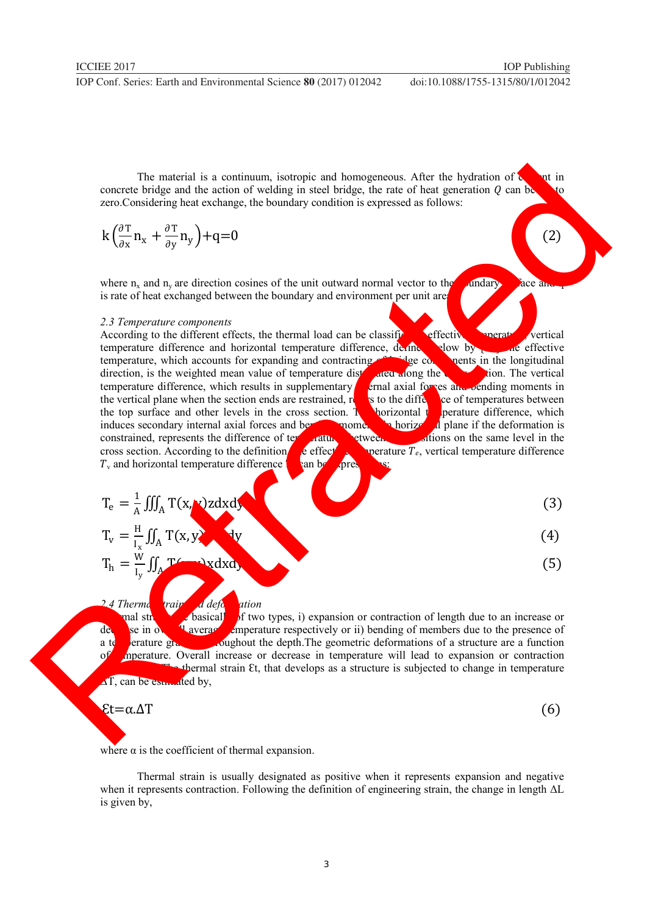ICCIEE 2017 **IOP** Publishing

The material is a continuum, isotropic and homogeneous. After the hydration of  $\zeta$  and in concrete bridge and the action of welding in steel bridge, the rate of heat generation  $Q$  can be zero.Considering heat exchange, the boundary condition is expressed as follows:

$$
k\left(\frac{\partial T}{\partial x}n_x + \frac{\partial T}{\partial y}n_y\right) + q = 0\tag{2}
$$

where n<sub>x</sub> and n<sub>y</sub> are direction cosines of the unit outward normal vector to the bundary surface and  $\alpha$ is rate of heat exchanged between the boundary and environment per unit area.

### *2.3 Temperature components*

According to the different effects, the thermal load can be classified as effective temperature difference, de the short of the state of effective temperature difference and horizontal temperature difference, defined by low by and effective temperature, which accounts for expanding and contracting of bridge components in the longitudinal direction, is the weighted mean value of temperature distributed along the cross section. The vertical temperature difference, which results in supplementary  $\epsilon$  final axial forces and bending moments in the vertical plane when the section ends are restrained, refers to the difference of temperatures between the top surface and other levels in the cross section. The horizontal temperature difference, which induces secondary internal axial forces and bending momentum horizontal plane if the deformation is constrained, represents the difference of temperatures between two positions on the same level in the cross section. According to the definition,  $\epsilon$  effective temperature  $T_e$ , vertical temperature difference  $T<sub>v</sub>$  and horizontal temperature difference h can be expressed as: The matrix is a southern interaction of the distribution of the distribution of  $\frac{d^2y}{dx^2}$  (a)<br>  $\frac{d^2y}{dx^2}$  (b)  $\frac{dy}{dx}$  (c)  $\frac{dy}{dx}$  (c)  $\frac{dy}{dx}$  (c)  $\frac{dy}{dx}$  (c)  $\frac{dy}{dx}$  (c)  $\frac{dy}{dx}$  (c)  $\frac{dy}{dx}$  (c)  $\frac{$ 

$$
T_e = \frac{1}{A} \iiint_A T(x, x)z dx dx
$$
\n
$$
T = \frac{H}{A} \iiint_T (x, x)z dx dx
$$
\n(3)

$$
T_v = \frac{N}{I_x} \iint_A T(x, y)
$$
(4)  

$$
T_h = \frac{W}{I_y} \iint_A T(x, y) x dx dy
$$
(5)

2.4 Thermal strain and deformation and strain and deformation of two deformation of two deformation of two deformation  $\frac{d}{dx}$  deformation  $\frac{d}{dx}$  deformation  $\frac{d}{dx}$  deformation  $\frac{d}{dx}$  deformation  $\frac{d}{dx}$  defor and strains are basically of two types, i) expansion or contraction of length due to an increase or decrease in overall average temperature respectively or ii) bending of members due to the presence of a temperature gradient throughout the depth. The geometric deformations of a structure are a function of meeture. Overall increase or decrease in temperature will lead to expansion or contraction thermal strain Et, that develops as a structure is subjected to change in temperature  $\Delta T$ , can be estimated by,

$$
\epsilon t{=}\alpha.\Delta T
$$

$$
(6)
$$

where  $\alpha$  is the coefficient of thermal expansion.

Thermal strain is usually designated as positive when it represents expansion and negative when it represents contraction. Following the definition of engineering strain, the change in length ∆L is given by,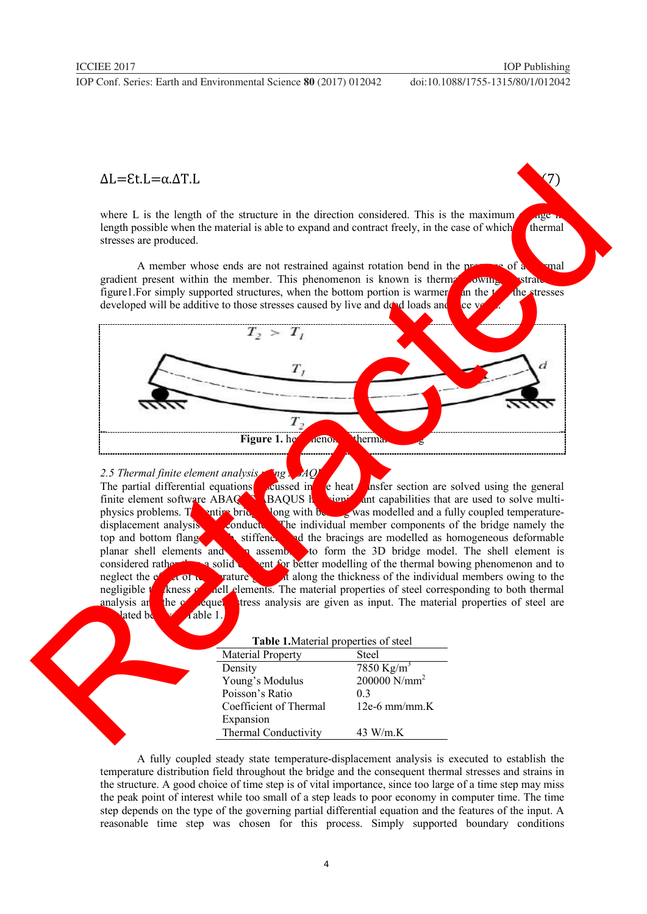$\Delta L = \epsilon t \cdot L = \alpha \cdot \Delta T \cdot L$ 

where L is the length of the structure in the direction considered. This is the maximum  $\sim$ length possible when the material is able to expand and contract freely, in the case of which thermal stresses are produced.

A member whose ends are not restrained against rotation bend in the presence of a thermal gradient present within the member. This phenomenon is known is thermal bowing is strated in figure1. For simply supported structures, when the bottom portion is warmer an the total the stresses developed will be additive to those stresses caused by live and dead loads and vice v

Figure 1. het<sub>hermal</sub> bowing thermal

2.5 Thermal finite element analysis using ABAQ<br>The partial differential equations

 $\epsilon$  heat  $\epsilon$  inster section are solved using the general finite element software  $ABAQ$  BAQUS has significant capabilities that are used to solve multiphysics problems. The entire bridge with bearing was modelled and a fully coupled temperature-<br>displacement analysis conducts. The individual member components of the bridge namely the The individual member components of the bridge namely the top and bottom flanges, we stiffened as homogeneous deformable planar shell elements and  $\bullet$  assembled to form the 3D bridge model. The shell element is considered rather than a solid ent for better modelling of the thermal bowing phenomenon and to neglect the electric variature. neglect the effect of temperature gradual members of the individual members owing to the negligible the set of the individual members owing to the negligible the set of steel corresponding to both thermal negligible thickness of shell elements. The material properties of steel corresponding to both thermal analysis and the consequent tress analysis are given as input. The material properties of steel are  $\frac{1}{2}$  able 1.  $\Delta L = E(t) = \alpha \Delta T$ .<br>
where I. is the largel of the structure in the direction considered This is the resistance<br>
Engineering consider and the material is obtained and contract firedly, in the case of which<br>
structure which c

| Table 1. Material properties of steel |                          |
|---------------------------------------|--------------------------|
| <b>Material Property</b>              | <b>Steel</b>             |
| Density                               | 7850 Kg/m <sup>3</sup>   |
| Young's Modulus                       | 200000 N/mm <sup>2</sup> |
| Poisson's Ratio                       | 0 <sub>3</sub>           |
| Coefficient of Thermal                | $12e-6$ mm/mm.K          |
| Expansion                             |                          |
| Thermal Conductivity                  | 43 W/m.K                 |

A fully coupled steady state temperature-displacement analysis is executed to establish the temperature distribution field throughout the bridge and the consequent thermal stresses and strains in the structure. A good choice of time step is of vital importance, since too large of a time step may miss the peak point of interest while too small of a step leads to poor economy in computer time. The time step depends on the type of the governing partial differential equation and the features of the input. A reasonable time step was chosen for this process. Simply supported boundary conditions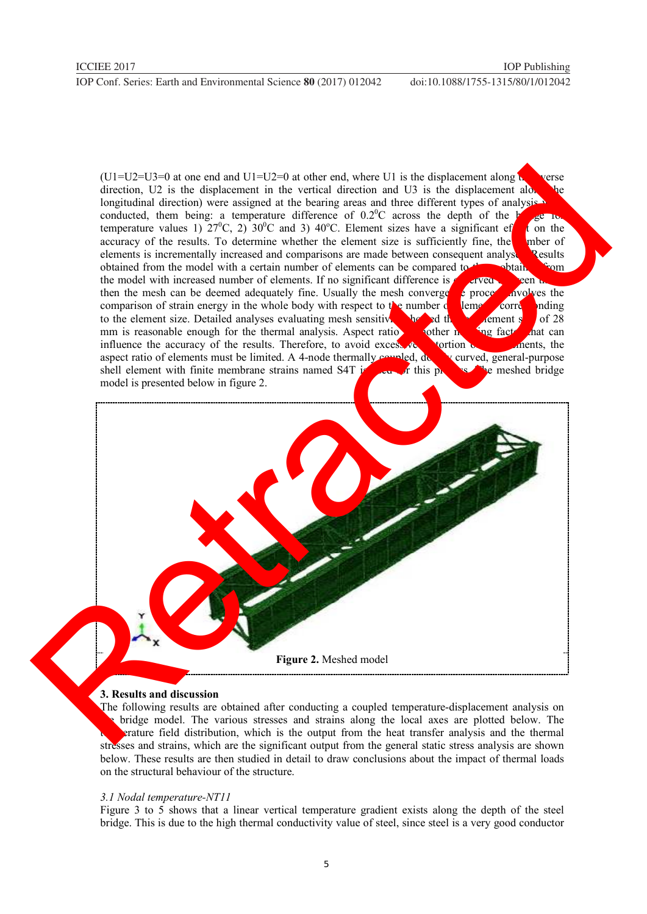$(U1=U2=U3=0$  at one end and  $U1=U2=0$  at other end, where U1 is the displacement along to verse direction,  $U2$  is the displacement in the vertical direction and  $U3$  is the displacement along longitudinal direction) were assigned at the bearing areas and three different types of analysis we conducted, them being: a temperature difference of  $0.2^{\circ}$ C across the depth of the b temperature values 1)  $27^{\circ}$ C, 2)  $30^{\circ}$ C and 3)  $40^{\circ}$ C. Element sizes have a significant efter on the accuracy of the results. To determine whether the element size is sufficiently fine, the number of elements is incrementally increased and comparisons are made between consequent analyses. Results. obtained from the model with a certain number of elements can be compared to the obtained from the model with increased number of elements. If no significant difference is  $\alpha$  sive  $\alpha$  been them, then the mesh can be deemed adequately fine. Usually the mesh convergence process involves the comparison of strain energy in the whole body with respect to the number  $\epsilon$  lements corresponding to the element size. Detailed analyses evaluating mesh sensitives that showed the sensitivity showed that can element size of 28 mm is reasonable enough for the thermal analysis. Aspect ratio mm is reasonable enough for the thermal analysis. Aspect ratio is a forther meshing factor that can influence the accuracy of the results. Therefore, to avoid excessive distortion of the elements, the aspect ratio of elements must be limited. A 4-node thermally compled, download except at the elements must be limited. A aspect ratio of elements must be limited. A 4-node thermally coupled, doubled, general-purpose shell element with finite membrane strains named  $S4T$  is the purpose of this purpose. shell element with finite membrane strains named S4T  $\mu$  and  $\mu$  this process. The meshed bridge model is presented below in figure 2. (Using the control and UII+10-0 and a control and solution and D is the displacement along the control and the control and the displacement and the control and the control and the control and the control and the control a

**Figure 2.** Meshed model

### **3. Results and discussion**

The following results are obtained after conducting a coupled temperature-displacement analysis on the bridge model. The various stresses and strains along the local axes are plotted below. The **Exactlerier field distribution, which is the output from the heat transfer analysis and the thermal** stresses and strains, which are the significant output from the general static stress analysis are shown below. These results are then studied in detail to draw conclusions about the impact of thermal loads on the structural behaviour of the structure.

### *3.1 Nodal temperature-NT11*

Figure 3 to 5 shows that a linear vertical temperature gradient exists along the depth of the steel bridge. This is due to the high thermal conductivity value of steel, since steel is a very good conductor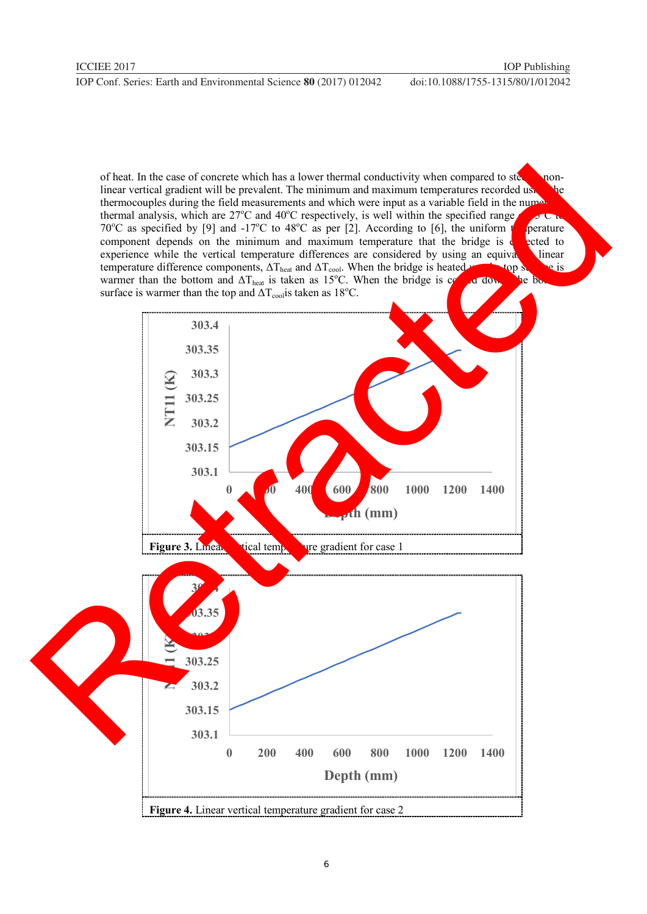of heat. In the case of concrete which has a lower thermal conductivity when compared to steel, a nonlinear vertical gradient will be prevalent. The minimum and maximum temperatures recorded using the thermocouples during the field measurements and which were input as a variable field in the numerical thermal analysis, which are  $27^{\circ}$ C and  $40^{\circ}$ C respectively, is well within the specified range 70<sup>o</sup>C as specified by [9] and -17<sup>o</sup>C to 48<sup>o</sup>C as per [2]. According to [6], the uniform to perature component depends on the minimum and maximum temperature that the bridge is  $\epsilon$  exted to experience while the vertical temperature differences are considered by using an equivalent linear temperature difference components,  $\Delta T_{\text{heat}}$  and  $\Delta T_{\text{cool}}$ . When the bridge is heated up top surface is warmer than the bottom and  $\Delta T_{\text{heat}}$  is taken as 15°C. When the bridge is contract down, the bottom surface is warmer than the top and  $\Delta T_{cool}$  is taken as 18<sup>o</sup>C.

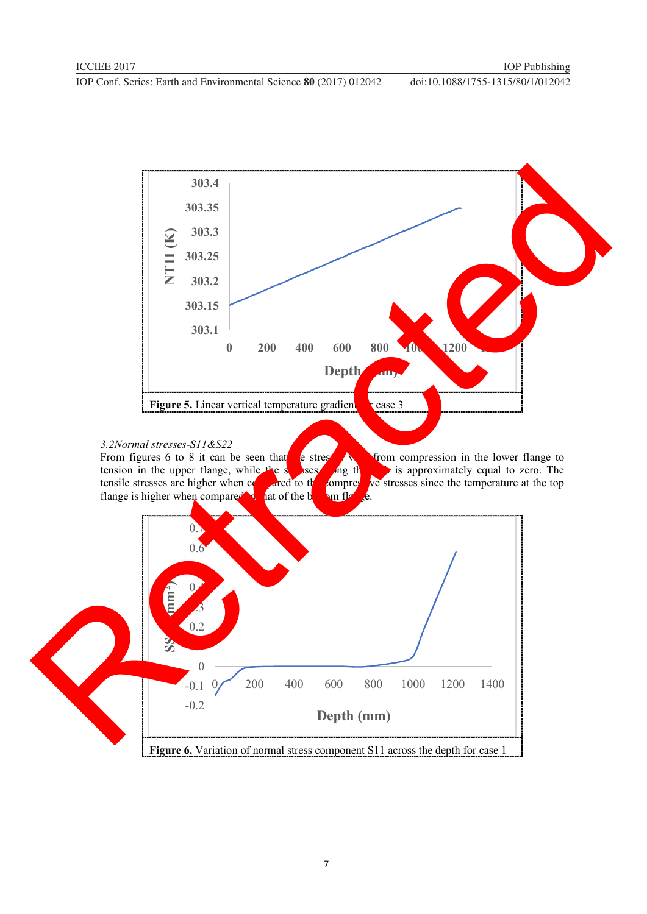

*3.2Normal stresses-S11&S22*  e stresses and from compression in the lower flange to stress and the stresses vary from compression in the lower flange to tension in the upper flange, while the stresses are higher when contracted to the compression of the compression of the compression of the compression of the compression of the compression of the compression of the compres ared to the compressive stresses since the temperature at the top at of the compressive stresses since the temperature at the top flange is higher when compared to the bottom flags of the bottom flags of the bottom flags of the bottom flags of the bottom flags of the bottom flags of the bottom flags of the bottom flags of the bottom flags of the bot

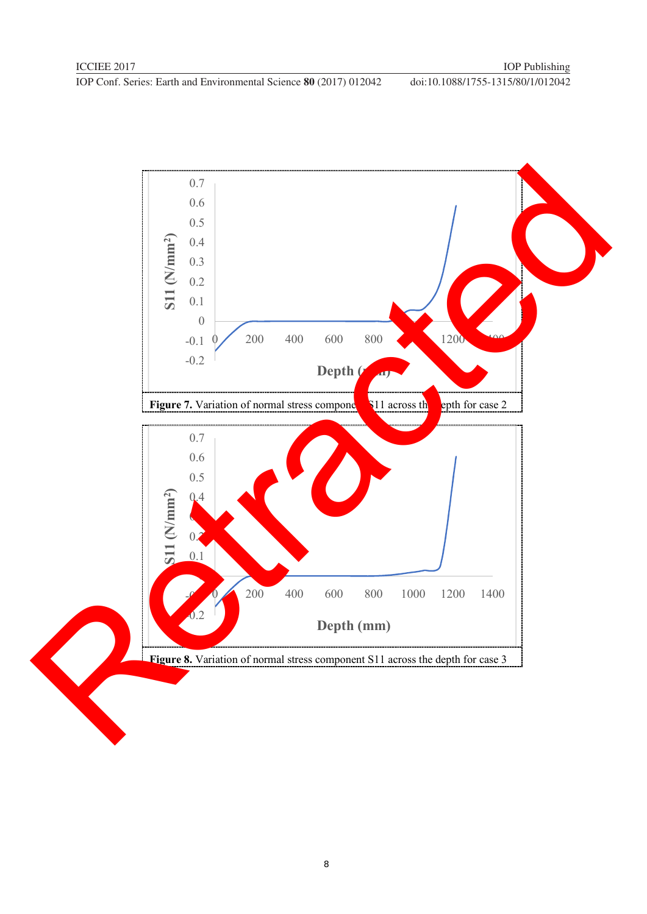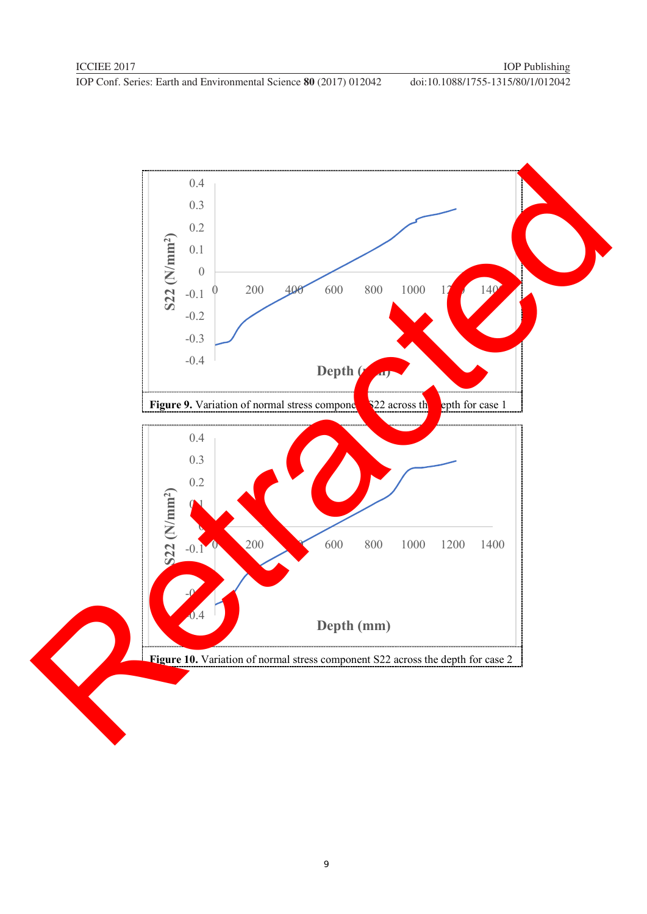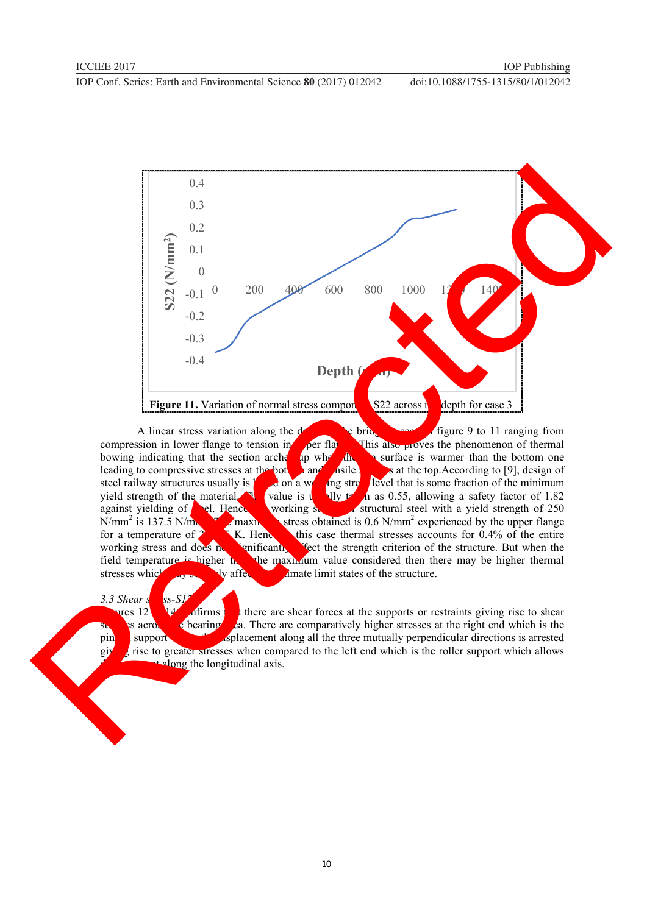

A linear stress variation along the depth of the bridge is seen in figure 9 to 11 ranging from sion in lower flange to tension in **per flame** This also proves the phenomenon of thermal compression in lower flange to tension in  $\rho$  per flame. This also proves the phenomenon of thermal bowing indicating that the section arches up when the surface is warmer than the bottom one leading to compressive stresses at the bottom and the sature is warmer than the bottom one leading to compressive stresses at the bottom and the side stress at the top.According to [9], design of steel railway structures usually is  $\frac{1}{2}$  on a wide line stress level that is some fraction of the minimum steel railway structures usually is based on a working stress level that is some fraction of the minimum vield strength of the material will value is  $\frac{1}{\sqrt{2}}$  as 0.55, allowing a safety factor of 1.82 material. This value is usually the material material. The material value is usually the material strength of  $1.82$  structural steel with a yield strength of  $250$ against yielding of  $\epsilon$ el. Hence working structural steel with a yield strength of 250  $N/mm^2$  is 137.5  $N/m$  $\mathbf{r}$  maximum stress obtained is 0.6 N/mm<sup>2</sup> experienced by the upper flange for a temperature of  $\frac{3}{5}$  K. Hence this case thermal stresses accounts for 0.4% of the entire working stress and does not the entire working stress and does not the strength criterion of the structure. But when the working stress and does not significantly affect the strength criterion of the structure. But when the field temperature is higher that the maximum value considered then there may be higher thermal stresses which was stressed which may severely affect the ultimate limit states of the structure.

### 3.3 Shear s

 $\frac{12}{\sqrt{10}}$   $\frac{1}{\sqrt{10}}$  there are shear forces at the supports or restraints giving rise to shear stresses at the right end which is the pin support  $\epsilon$  bearing  $\epsilon$  a. There are comparatively higher stresses at the right end which is the support support support support support along all the three mutually perpendicular directions is arrested givest rise to greater stresses when compared to the left end which is the roller support which allows along the longitudinal axis.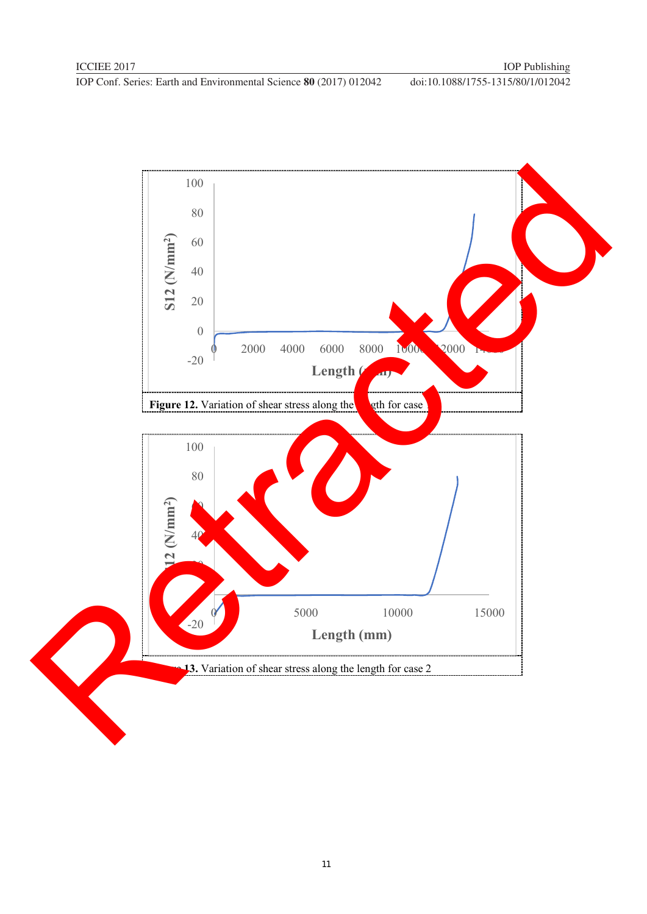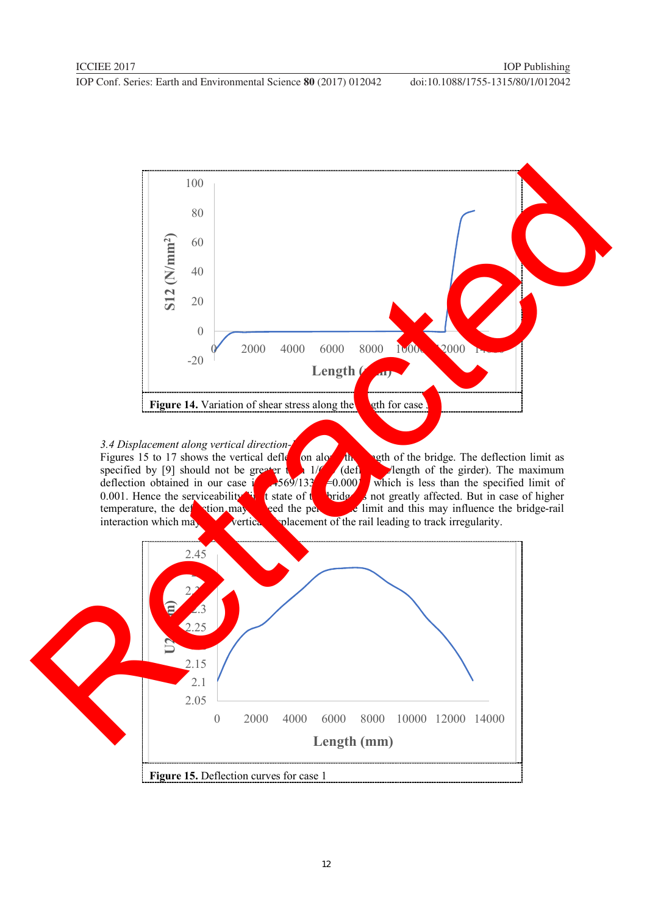

*3.4 Displacement along vertical direction-*<br>Figures 15 to 17 shows the vertical defletion along Figures 15 to 17 shows the vertical deflection along the length of the bridge. The deflection limit as specified by [9] should not be greater  $\frac{1}{2}$   $\frac{1}{2}$  (deflection figures). The maximum specified by [9] should not be greater than 1/6 (deflection) length of the girder). The maximum deflection obtained in our case  $\frac{1}{2}$  2.659/133<sup>1</sup> = 0.000<sup>1</sup> which is less than the specified limit of 0.001. Hence the serviceability  $\mathbf{t}$  is tate of the bridge is not greatly affected. But in case of higher temperature, the definition may be limit and this may influence the bridge-rail temperature, the deflection may execute the permit and this may influence the bridge-rail interaction which may vertice when we have been well as a set of the rail leading to track irregularity. vertical which when which which which which which we rail leading to track irregularity.

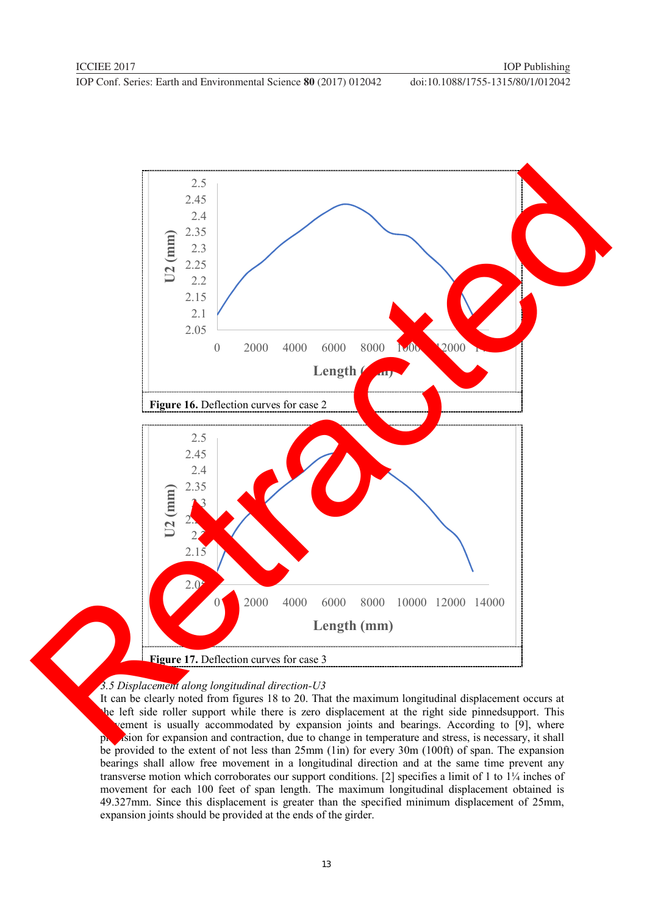

### *3.5 Displacement along longitudinal direction-U3*

It can be clearly noted from figures 18 to 20. That the maximum longitudinal displacement occurs at the left side roller support while there is zero displacement at the right side pinnedsupport. This vement is usually accommodated by expansion joints and bearings. According to [9], where provision for expansion and contraction, due to change in temperature and stress, is necessary, it shall be provided to the extent of not less than 25mm (1in) for every 30m (100ft) of span. The expansion bearings shall allow free movement in a longitudinal direction and at the same time prevent any transverse motion which corroborates our support conditions. [2] specifies a limit of 1 to 1¼ inches of movement for each 100 feet of span length. The maximum longitudinal displacement obtained is 49.327mm. Since this displacement is greater than the specified minimum displacement of 25mm, expansion joints should be provided at the ends of the girder.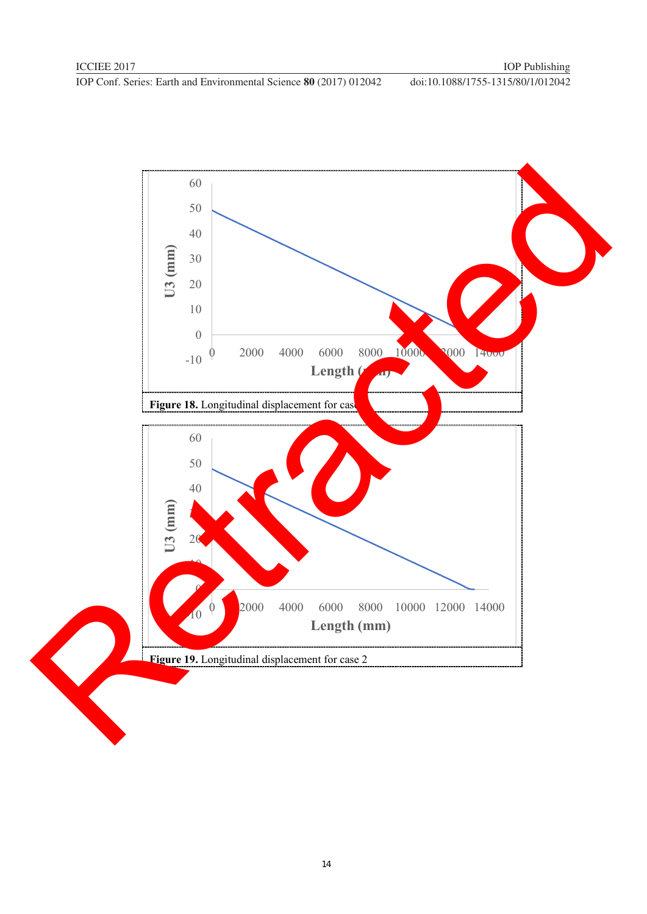

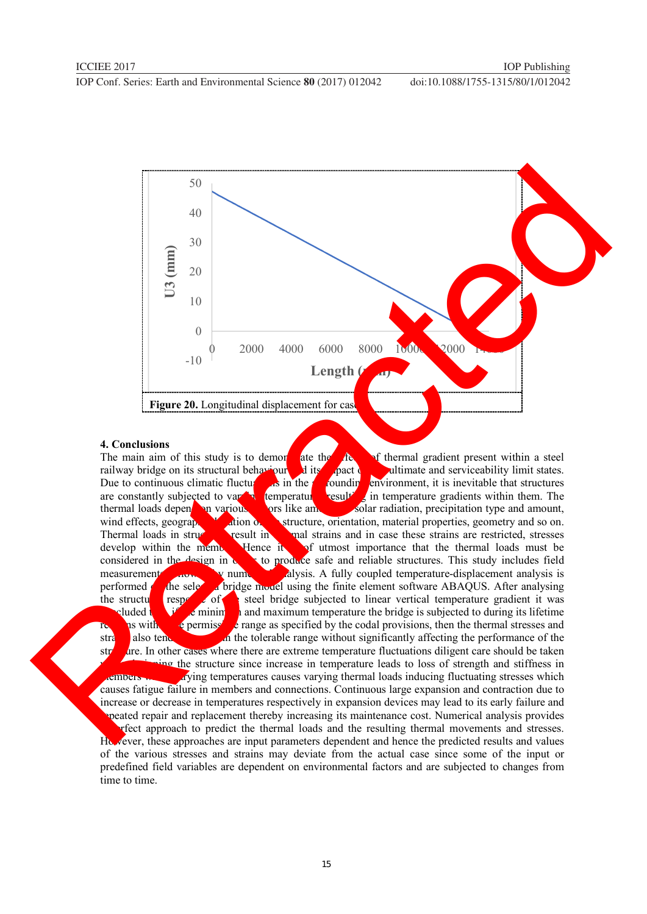

**4. Conclusions**<br>The main aim of this study is to demon ate the **chain a** steel determined and serviceability limit states. railway bridge on its structural behaviour and its Due to continuous climatic fluctures. Due to continuous climatic fluctures in the surface environment, it is inevitable that structures are constantly subjected to var  $\frac{1}{2}$  temperature  $\frac{1}{2}$  in temperature gradients within them. The temperature subsection temperature gradients within them. The thermal loads depend on various factors like amount solar radiation, precipitation type and amount, wind effects, geography and solar structure, orientation, material properties, geometry and so on. wind effects, geographic location of the structure, orientation, material properties, geometry and so on.<br>Thermal loads in structure with the mal strains and in case these strains are restricted, stresses mal strains and in case these strains are restricted, stresses develop within the member. Hence it is of utmost importance that the thermal loads must be considered in the design in  $\alpha$  is to produce safe and reliable structures. This study includes field measurements for a mum analysis. A fully coupled temperature-displacement analysis is performed  $\alpha$  the selected bridge model using the finite element software ABAQUS. After analysing the structure response of the structure response of the structure steel bridge subjected to linear vertical temperature gradient it was continuous continuous minimum and maximum temperature the bridge is subjected to during its lifetime is with  $\epsilon$  permised to range as specified by the codal provisions, then the thermal stresses and as with the permissible range as specified by the codal provisions, then the thermal stresses and strains also tend to be without significantly affecting the performance of the structure. In other cases where there are extreme temperature fluctuations diligent care should be taken where the structure since increase in temperature leads to loss of strength and stiffness in  $m$  arying temperatures causes varying thermal loads inducing fluctuating stresses which causes fatigue failure in members and connections. Continuous large expansion and contraction due to increase or decrease in temperatures respectively in expansion devices may lead to its early failure and **repeated repair and replacement thereby increasing its maintenance cost. Numerical analysis provides** a perfect approach to predict the thermal loads and the resulting thermal movements and stresses. However, these approaches are input parameters dependent and hence the predicted results and values of the various stresses and strains may deviate from the actual case since some of the input or predefined field variables are dependent on environmental factors and are subjected to changes from time to time.  $\frac{3}{2}$ <br>  $\frac{1}{2}$ <br>  $\frac{1}{2}$ <br>  $\frac{1}{2}$ <br>  $\frac{1}{2}$ <br>  $\frac{1}{2}$ <br>  $\frac{1}{2}$ <br>  $\frac{1}{2}$ <br>  $\frac{1}{2}$ <br>  $\frac{1}{2}$ <br>  $\frac{1}{2}$ <br>  $\frac{1}{2}$ <br>  $\frac{1}{2}$ <br>  $\frac{1}{2}$ <br>  $\frac{1}{2}$ <br>  $\frac{1}{2}$ <br>  $\frac{1}{2}$ <br>  $\frac{1}{2}$ <br>  $\frac{1}{2}$ <br>  $\frac{1}{2}$ <br>